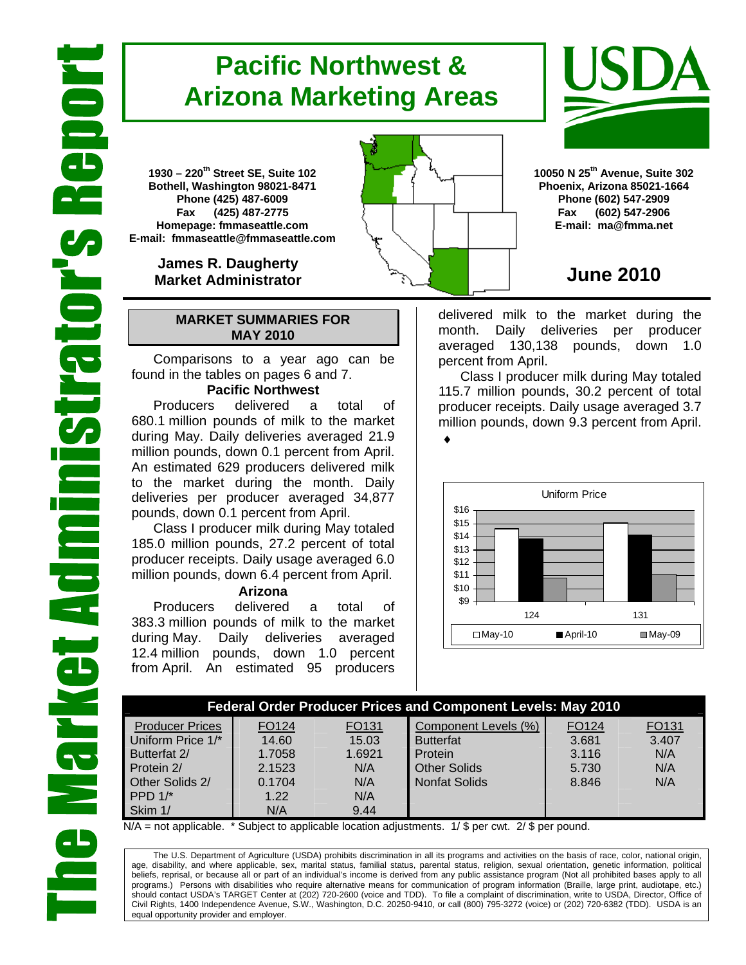# **Pacific Northwest & Arizona Marketing Areas**

**1930 – 220th Street SE, Suite 102 Bothell, Washington 98021-8471 Phone (425) 487-6009 Fax (425) 487-2775 Homepage: fmmaseattle.com E-mail: fmmaseattle@fmmaseattle.com**

> **James R. Daugherty Market Administrator**

### **MARKET SUMMARIES FOR MAY 2010**

 Comparisons to a year ago can be found in the tables on pages 6 and 7.

### **Pacific Northwest**

Producers delivered a total of 680.1 million pounds of milk to the market during May. Daily deliveries averaged 21.9 million pounds, down 0.1 percent from April. An estimated 629 producers delivered milk to the market during the month. Daily deliveries per producer averaged 34,877 pounds, down 0.1 percent from April.

Class I producer milk during May totaled 185.0 million pounds, 27.2 percent of total producer receipts. Daily usage averaged 6.0 million pounds, down 6.4 percent from April.

### **Arizona**

Producers delivered a total of 383.3 million pounds of milk to the market during May. Daily deliveries averaged 12.4 million pounds, down 1.0 percent from April. An estimated 95 producers



## **June 2010**

delivered milk to the market during the month. Daily deliveries per producer averaged 130,138 pounds, down 1.0 percent from April.

Class I producer milk during May totaled 115.7 million pounds, 30.2 percent of total producer receipts. Daily usage averaged 3.7 million pounds, down 9.3 percent from April. ♦



| <b>Federal Order Producer Prices and Component Levels: May 2010</b> |        |        |                      |       |       |  |  |  |  |
|---------------------------------------------------------------------|--------|--------|----------------------|-------|-------|--|--|--|--|
| <b>Producer Prices</b>                                              | FO124  | FO131  | Component Levels (%) | FO124 | FO131 |  |  |  |  |
| Uniform Price 1/*                                                   | 14.60  | 15.03  | <b>Butterfat</b>     | 3.681 | 3.407 |  |  |  |  |
| Butterfat 2/                                                        | 1.7058 | 1.6921 | Protein              | 3.116 | N/A   |  |  |  |  |
| Protein 2/                                                          | 2.1523 | N/A    | <b>Other Solids</b>  | 5.730 | N/A   |  |  |  |  |
| Other Solids 2/                                                     | 0.1704 | N/A    | Nonfat Solids        | 8.846 | N/A   |  |  |  |  |
| PPD $1$ <sup>*</sup>                                                | 1.22   | N/A    |                      |       |       |  |  |  |  |
| Skim 1/                                                             | N/A    | 9.44   |                      |       |       |  |  |  |  |

 $N/A$  = not applicable. \* Subject to applicable location adjustments. 1/ \$ per cwt. 2/ \$ per pound.

The U.S. Department of Agriculture (USDA) prohibits discrimination in all its programs and activities on the basis of race, color, national origin, age, disability, and where applicable, sex, marital status, familial status, parental status, religion, sexual orientation, genetic information, political beliefs, reprisal, or because all or part of an individual's income is derived from any public assistance program (Not all prohibited bases apply to all programs.) Persons with disabilities who require alternative means for communication of program information (Braille, large print, audiotape, etc.) should contact USDA's TARGET Center at (202) 720-2600 (voice and TDD). To file a complaint of discrimination, write to USDA, Director, Office of Civil Rights, 1400 Independence Avenue, S.W., Washington, D.C. 20250-9410, or call (800) 795-3272 (voice) or (202) 720-6382 (TDD). USDA is an equal opportunity provider and employer.

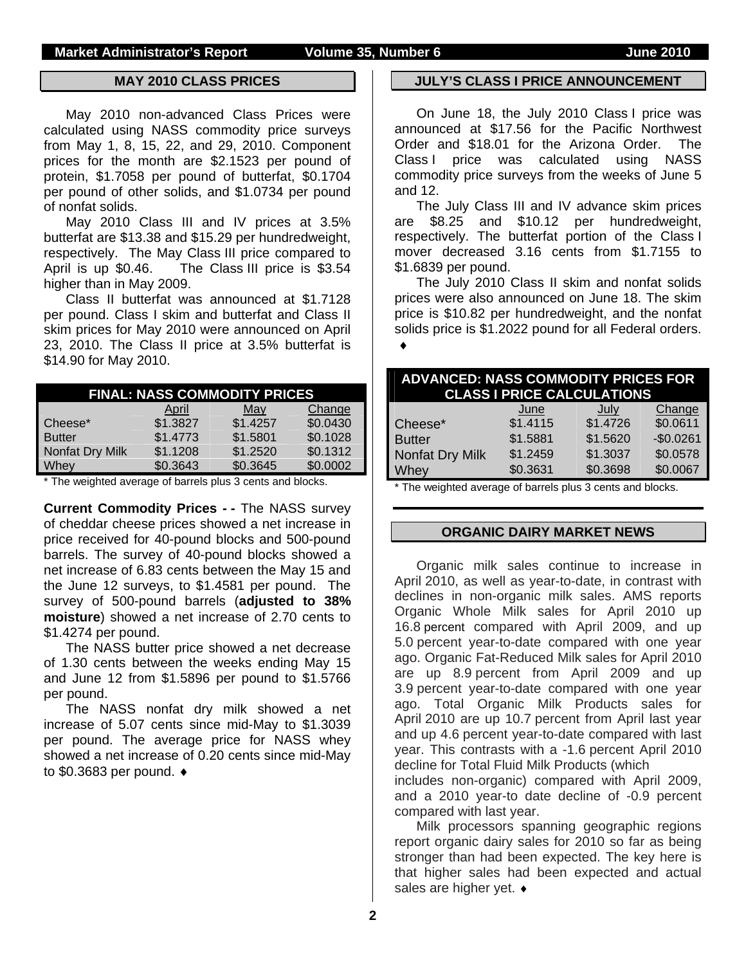### **MAY 2010 CLASS PRICES**

May 2010 non-advanced Class Prices were calculated using NASS commodity price surveys from May 1, 8, 15, 22, and 29, 2010. Component prices for the month are \$2.1523 per pound of protein, \$1.7058 per pound of butterfat, \$0.1704 per pound of other solids, and \$1.0734 per pound of nonfat solids.

May 2010 Class III and IV prices at 3.5% butterfat are \$13.38 and \$15.29 per hundredweight, respectively. The May Class III price compared to April is up \$0.46. The Class III price is \$3.54 higher than in May 2009.

Class II butterfat was announced at \$1.7128 per pound. Class I skim and butterfat and Class II skim prices for May 2010 were announced on April 23, 2010. The Class II price at 3.5% butterfat is \$14.90 for May 2010.

| <b>FINAL: NASS COMMODITY PRICES</b> |          |          |          |  |  |  |  |  |
|-------------------------------------|----------|----------|----------|--|--|--|--|--|
|                                     | April    | May      | Change   |  |  |  |  |  |
| Cheese*                             | \$1.3827 | \$1.4257 | \$0.0430 |  |  |  |  |  |
| <b>Butter</b>                       | \$1.4773 | \$1.5801 | \$0.1028 |  |  |  |  |  |
| Nonfat Dry Milk                     | \$1.1208 | \$1.2520 | \$0.1312 |  |  |  |  |  |
| Whey                                | \$0.3643 | \$0.3645 | \$0.0002 |  |  |  |  |  |

\* The weighted average of barrels plus 3 cents and blocks.

**Current Commodity Prices - -** The NASS survey of cheddar cheese prices showed a net increase in price received for 40-pound blocks and 500-pound barrels. The survey of 40-pound blocks showed a net increase of 6.83 cents between the May 15 and the June 12 surveys, to \$1.4581 per pound. The survey of 500-pound barrels (**adjusted to 38% moisture**) showed a net increase of 2.70 cents to \$1.4274 per pound.

The NASS butter price showed a net decrease of 1.30 cents between the weeks ending May 15 and June 12 from \$1.5896 per pound to \$1.5766 per pound.

The NASS nonfat dry milk showed a net increase of 5.07 cents since mid-May to \$1.3039 per pound. The average price for NASS whey showed a net increase of 0.20 cents since mid-May to \$0.3683 per pound. ♦

### **JULY'S CLASS I PRICE ANNOUNCEMENT**

On June 18, the July 2010 Class I price was announced at \$17.56 for the Pacific Northwest Order and \$18.01 for the Arizona Order. The Class I price was calculated using NASS commodity price surveys from the weeks of June 5 and 12.

The July Class III and IV advance skim prices are \$8.25 and \$10.12 per hundredweight, respectively. The butterfat portion of the Class I mover decreased 3.16 cents from \$1.7155 to \$1.6839 per pound.

The July 2010 Class II skim and nonfat solids prices were also announced on June 18. The skim price is \$10.82 per hundredweight, and the nonfat solids price is \$1.2022 pound for all Federal orders.

♦

|                 | <b>ADVANCED: NASS COMMODITY PRICES FOR</b><br><b>CLASS I PRICE CALCULATIONS</b> |          |            |  |  |  |
|-----------------|---------------------------------------------------------------------------------|----------|------------|--|--|--|
|                 | June                                                                            | July     | Change     |  |  |  |
| Cheese*         | \$1.4115                                                                        | \$1.4726 | \$0.0611   |  |  |  |
| <b>Butter</b>   | \$1.5881                                                                        | \$1.5620 | $-$0.0261$ |  |  |  |
| Nonfat Dry Milk | \$1.2459                                                                        | \$1.3037 | \$0.0578   |  |  |  |
| <b>Whey</b>     | \$0.3631                                                                        | \$0.3698 | \$0.0067   |  |  |  |

The weighted average of barrels plus 3 cents and blocks.

### **ORGANIC DAIRY MARKET NEWS**

Organic milk sales continue to increase in April 2010, as well as year-to-date, in contrast with declines in non-organic milk sales. AMS reports Organic Whole Milk sales for April 2010 up 16.8 percent compared with April 2009, and up 5.0 percent year-to-date compared with one year ago. Organic Fat-Reduced Milk sales for April 2010 are up 8.9 percent from April 2009 and up 3.9 percent year-to-date compared with one year ago. Total Organic Milk Products sales for April 2010 are up 10.7 percent from April last year and up 4.6 percent year-to-date compared with last year. This contrasts with a -1.6 percent April 2010 decline for Total Fluid Milk Products (which includes non-organic) compared with April 2009,

and a 2010 year-to date decline of -0.9 percent compared with last year.

Milk processors spanning geographic regions report organic dairy sales for 2010 so far as being stronger than had been expected. The key here is that higher sales had been expected and actual sales are higher yet. ♦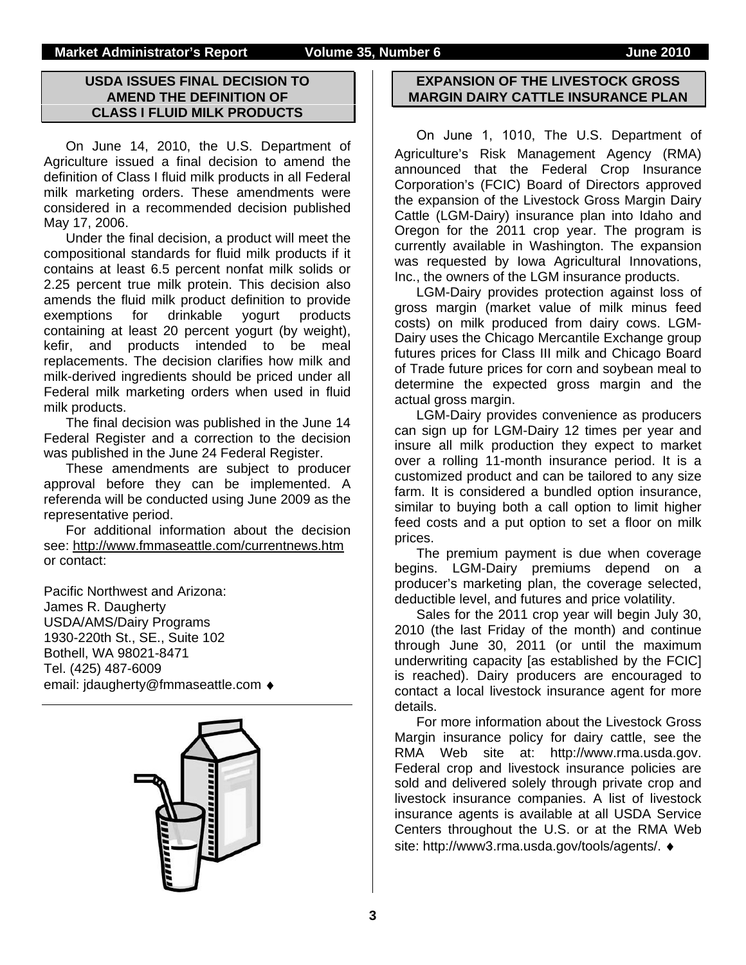### **USDA ISSUES FINAL DECISION TO AMEND THE DEFINITION OF CLASS I FLUID MILK PRODUCTS**

On June 14, 2010, the U.S. Department of Agriculture issued a final decision to amend the definition of Class I fluid milk products in all Federal milk marketing orders. These amendments were considered in a recommended decision published May 17, 2006.

Under the final decision, a product will meet the compositional standards for fluid milk products if it contains at least 6.5 percent nonfat milk solids or 2.25 percent true milk protein. This decision also amends the fluid milk product definition to provide exemptions for drinkable yogurt products containing at least 20 percent yogurt (by weight), kefir, and products intended to be meal replacements. The decision clarifies how milk and milk-derived ingredients should be priced under all Federal milk marketing orders when used in fluid milk products.

The final decision was published in the June 14 Federal Register and a correction to the decision was published in the June 24 Federal Register.

These amendments are subject to producer approval before they can be implemented. A referenda will be conducted using June 2009 as the representative period.

For additional information about the decision see: http://www.fmmaseattle.com/currentnews.htm or contact:

Pacific Northwest and Arizona: James R. Daugherty USDA/AMS/Dairy Programs 1930-220th St., SE., Suite 102 Bothell, WA 98021-8471 Tel. (425) 487-6009 email: jdaugherty@fmmaseattle.com ♦



### **EXPANSION OF THE LIVESTOCK GROSS MARGIN DAIRY CATTLE INSURANCE PLAN**

 On June 1, 1010, The U.S. Department of Agriculture's Risk Management Agency (RMA) announced that the Federal Crop Insurance Corporation's (FCIC) Board of Directors approved the expansion of the Livestock Gross Margin Dairy Cattle (LGM-Dairy) insurance plan into Idaho and Oregon for the 2011 crop year. The program is currently available in Washington. The expansion was requested by Iowa Agricultural Innovations, Inc., the owners of the LGM insurance products.

LGM-Dairy provides protection against loss of gross margin (market value of milk minus feed costs) on milk produced from dairy cows. LGM-Dairy uses the Chicago Mercantile Exchange group futures prices for Class III milk and Chicago Board of Trade future prices for corn and soybean meal to determine the expected gross margin and the actual gross margin.

LGM-Dairy provides convenience as producers can sign up for LGM-Dairy 12 times per year and insure all milk production they expect to market over a rolling 11-month insurance period. It is a customized product and can be tailored to any size farm. It is considered a bundled option insurance, similar to buying both a call option to limit higher feed costs and a put option to set a floor on milk prices.

The premium payment is due when coverage begins. LGM-Dairy premiums depend on a producer's marketing plan, the coverage selected, deductible level, and futures and price volatility.

Sales for the 2011 crop year will begin July 30, 2010 (the last Friday of the month) and continue through June 30, 2011 (or until the maximum underwriting capacity [as established by the FCIC] is reached). Dairy producers are encouraged to contact a local livestock insurance agent for more details.

For more information about the Livestock Gross Margin insurance policy for dairy cattle, see the RMA Web site at: http://www.rma.usda.gov. Federal crop and livestock insurance policies are sold and delivered solely through private crop and livestock insurance companies. A list of livestock insurance agents is available at all USDA Service Centers throughout the U.S. or at the RMA Web site: http://www3.rma.usda.gov/tools/agents/. ♦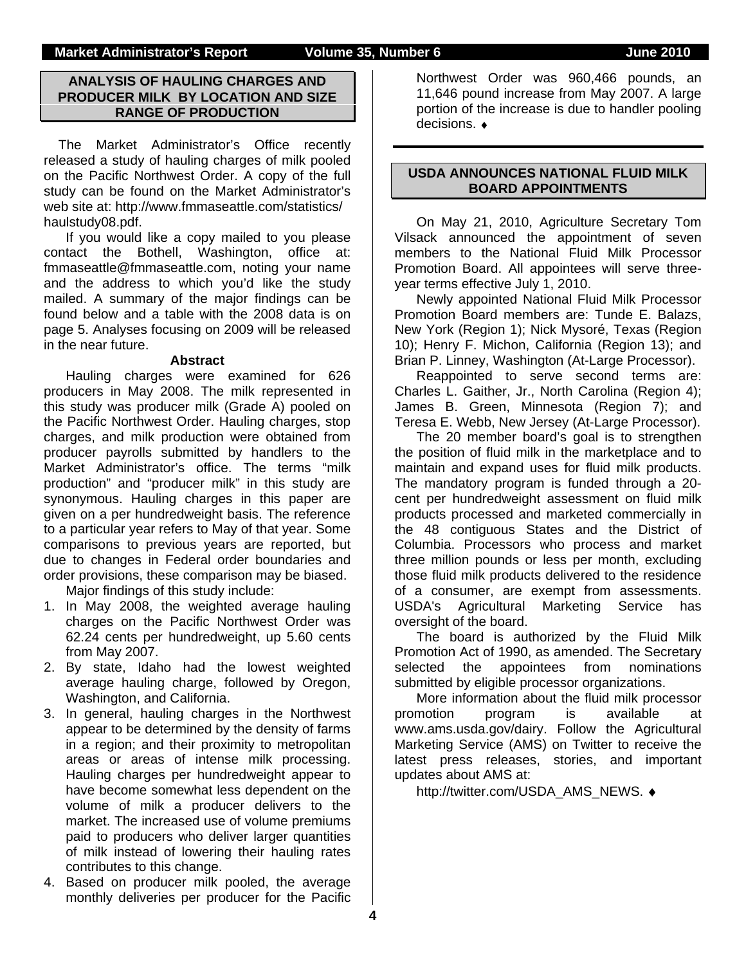### **ANALYSIS OF HAULING CHARGES AND PRODUCER MILK BY LOCATION AND SIZE RANGE OF PRODUCTION**

The Market Administrator's Office recently released a study of hauling charges of milk pooled on the Pacific Northwest Order. A copy of the full study can be found on the Market Administrator's web site at: http://www.fmmaseattle.com/statistics/ haulstudy08.pdf.

If you would like a copy mailed to you please contact the Bothell, Washington, office at: fmmaseattle@fmmaseattle.com, noting your name and the address to which you'd like the study mailed. A summary of the major findings can be found below and a table with the 2008 data is on page 5. Analyses focusing on 2009 will be released in the near future.

### **Abstract**

Hauling charges were examined for 626 producers in May 2008. The milk represented in this study was producer milk (Grade A) pooled on the Pacific Northwest Order. Hauling charges, stop charges, and milk production were obtained from producer payrolls submitted by handlers to the Market Administrator's office. The terms "milk production" and "producer milk" in this study are synonymous. Hauling charges in this paper are given on a per hundredweight basis. The reference to a particular year refers to May of that year. Some comparisons to previous years are reported, but due to changes in Federal order boundaries and order provisions, these comparison may be biased.

Major findings of this study include:

- 1. In May 2008, the weighted average hauling charges on the Pacific Northwest Order was 62.24 cents per hundredweight, up 5.60 cents from May 2007.
- 2. By state, Idaho had the lowest weighted average hauling charge, followed by Oregon, Washington, and California.
- 3. In general, hauling charges in the Northwest appear to be determined by the density of farms in a region; and their proximity to metropolitan areas or areas of intense milk processing. Hauling charges per hundredweight appear to have become somewhat less dependent on the volume of milk a producer delivers to the market. The increased use of volume premiums paid to producers who deliver larger quantities of milk instead of lowering their hauling rates contributes to this change.
- 4. Based on producer milk pooled, the average monthly deliveries per producer for the Pacific

Northwest Order was 960,466 pounds, an 11,646 pound increase from May 2007. A large portion of the increase is due to handler pooling decisions. ♦

### **USDA ANNOUNCES NATIONAL FLUID MILK BOARD APPOINTMENTS**

On May 21, 2010, Agriculture Secretary Tom Vilsack announced the appointment of seven members to the National Fluid Milk Processor Promotion Board. All appointees will serve threeyear terms effective July 1, 2010.

Newly appointed National Fluid Milk Processor Promotion Board members are: Tunde E. Balazs, New York (Region 1); Nick Mysoré, Texas (Region 10); Henry F. Michon, California (Region 13); and Brian P. Linney, Washington (At-Large Processor).

Reappointed to serve second terms are: Charles L. Gaither, Jr., North Carolina (Region 4); James B. Green, Minnesota (Region 7); and Teresa E. Webb, New Jersey (At-Large Processor).

The 20 member board's goal is to strengthen the position of fluid milk in the marketplace and to maintain and expand uses for fluid milk products. The mandatory program is funded through a 20 cent per hundredweight assessment on fluid milk products processed and marketed commercially in the 48 contiguous States and the District of Columbia. Processors who process and market three million pounds or less per month, excluding those fluid milk products delivered to the residence of a consumer, are exempt from assessments. USDA's Agricultural Marketing Service has oversight of the board.

The board is authorized by the Fluid Milk Promotion Act of 1990, as amended. The Secretary selected the appointees from nominations submitted by eligible processor organizations.

More information about the fluid milk processor promotion program is available at www.ams.usda.gov/dairy. Follow the Agricultural Marketing Service (AMS) on Twitter to receive the latest press releases, stories, and important updates about AMS at:

http://twitter.com/USDA\_AMS\_NEWS. ♦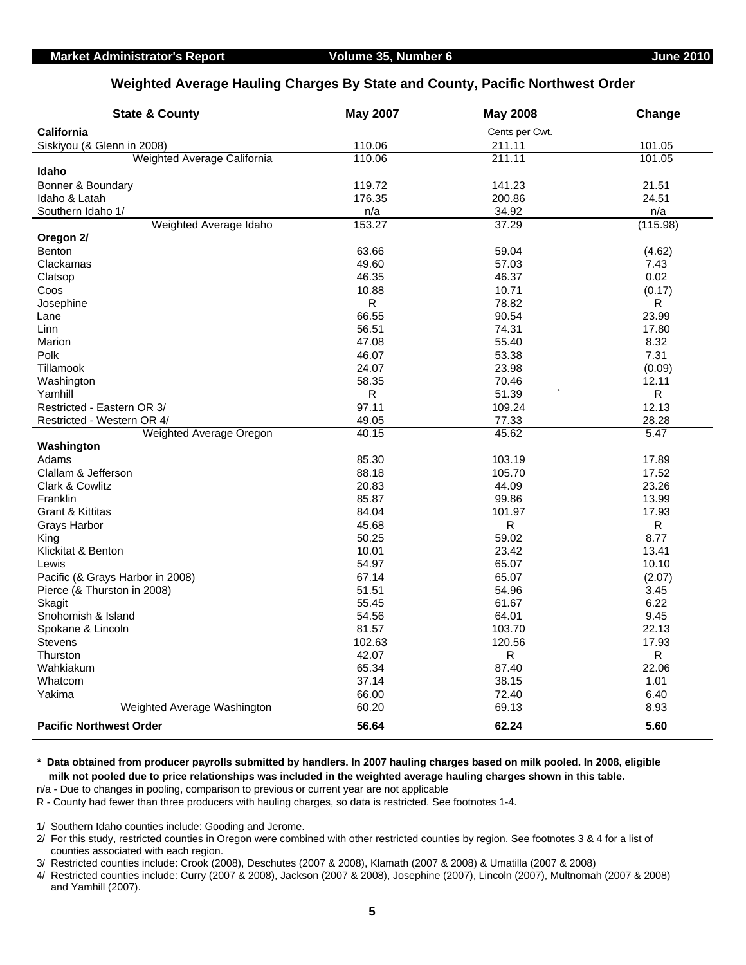### **Weighted Average Hauling Charges By State and County, Pacific Northwest Order**

| <b>State &amp; County</b>             | <b>May 2007</b> | <b>May 2008</b> | Change       |
|---------------------------------------|-----------------|-----------------|--------------|
| <b>California</b>                     |                 | Cents per Cwt.  |              |
| Siskiyou (& Glenn in 2008)            | 110.06          | 211.11          | 101.05       |
| Weighted Average California           | 110.06          | 211.11          | 101.05       |
| Idaho                                 |                 |                 |              |
| Bonner & Boundary                     | 119.72          | 141.23          | 21.51        |
| Idaho & Latah                         | 176.35          | 200.86          | 24.51        |
| Southern Idaho 1/                     | n/a             | 34.92           | n/a          |
| Weighted Average Idaho                | 153.27          | 37.29           | (115.98)     |
| Oregon 2/                             |                 |                 |              |
| <b>Benton</b>                         | 63.66           | 59.04           | (4.62)       |
| Clackamas                             | 49.60           | 57.03           | 7.43         |
| Clatsop                               | 46.35           | 46.37           | 0.02         |
| Coos                                  | 10.88           | 10.71           | (0.17)       |
| Josephine                             | R               | 78.82           | ${\sf R}$    |
| Lane                                  | 66.55           | 90.54           | 23.99        |
| Linn                                  | 56.51           | 74.31           | 17.80        |
| Marion                                | 47.08           | 55.40           | 8.32         |
| Polk                                  | 46.07           | 53.38           | 7.31         |
| Tillamook                             | 24.07           | 23.98           | (0.09)       |
| Washington                            | 58.35           | 70.46           | 12.11        |
| Yamhill                               | ${\sf R}$       | 51.39           | R            |
| Restricted - Eastern OR 3/            | 97.11           | 109.24          | 12.13        |
| Restricted - Western OR 4/            | 49.05           | 77.33           | 28.28        |
| Weighted Average Oregon               | 40.15           | 45.62           | 5.47         |
| Washington                            |                 |                 |              |
| Adams                                 | 85.30           | 103.19          | 17.89        |
| Clallam & Jefferson                   | 88.18           | 105.70          | 17.52        |
| Clark & Cowlitz                       | 20.83           | 44.09           | 23.26        |
| Franklin                              | 85.87           | 99.86           | 13.99        |
| <b>Grant &amp; Kittitas</b>           | 84.04           | 101.97          | 17.93        |
| Grays Harbor                          | 45.68           | R               | R            |
| King                                  | 50.25           | 59.02           | 8.77         |
| Klickitat & Benton                    | 10.01           | 23.42           | 13.41        |
| Lewis                                 | 54.97           | 65.07           | 10.10        |
| Pacific (& Grays Harbor in 2008)      | 67.14           | 65.07           | (2.07)       |
| Pierce (& Thurston in 2008)           | 51.51           | 54.96           | 3.45         |
| Skagit                                | 55.45           | 61.67           | 6.22         |
| Snohomish & Island                    | 54.56           | 64.01           | 9.45         |
| Spokane & Lincoln                     | 81.57           | 103.70          | 22.13        |
| <b>Stevens</b>                        | 102.63          | 120.56          | 17.93        |
| Thurston                              | 42.07           | R               | R            |
| Wahkiakum                             | 65.34           | 87.40           | 22.06        |
| Whatcom                               | 37.14           | 38.15           | 1.01         |
| Yakima<br>Weighted Average Washington | 66.00<br>60.20  | 72.40<br>69.13  | 6.40<br>8.93 |
|                                       |                 |                 |              |
| <b>Pacific Northwest Order</b>        | 56.64           | 62.24           | 5.60         |

 **milk not pooled due to price relationships was included in the weighted average hauling charges shown in this table. \* Data obtained from producer payrolls submitted by handlers. In 2007 hauling charges based on milk pooled. In 2008, eligible**

n/a - Due to changes in pooling, comparison to previous or current year are not applicable

R - County had fewer than three producers with hauling charges, so data is restricted. See footnotes 1-4.

1/ Southern Idaho counties include: Gooding and Jerome.

 2/ For this study, restricted counties in Oregon were combined with other restricted counties by region. See footnotes 3 & 4 for a list of counties associated with each region.

3/ Restricted counties include: Crook (2008), Deschutes (2007 & 2008), Klamath (2007 & 2008) & Umatilla (2007 & 2008)

 4/ Restricted counties include: Curry (2007 & 2008), Jackson (2007 & 2008), Josephine (2007), Lincoln (2007), Multnomah (2007 & 2008) and Yamhill (2007).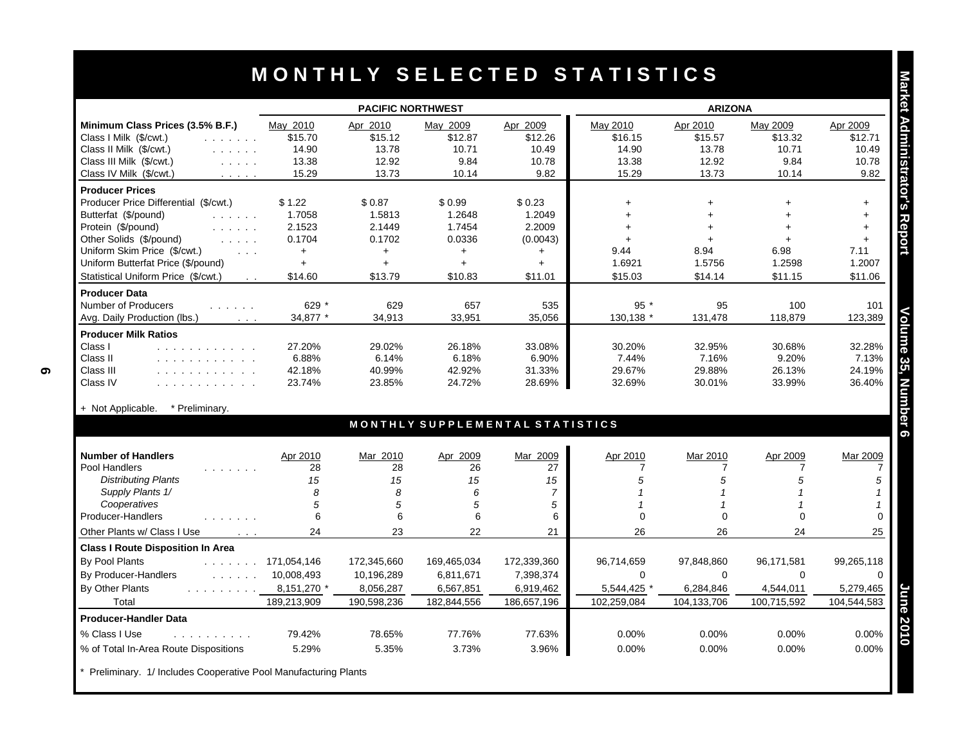|                                                                                                | <b>PACIFIC NORTHWEST</b> |             |             | <b>ARIZONA</b>                  |                |                |                      |             |
|------------------------------------------------------------------------------------------------|--------------------------|-------------|-------------|---------------------------------|----------------|----------------|----------------------|-------------|
| Minimum Class Prices (3.5% B.F.)                                                               | May 2010                 | Apr 2010    | May 2009    | Apr 2009                        | May 2010       | Apr 2010       | May 2009             | Apr 2009    |
| Class I Milk (\$/cwt.)<br>and a strain and                                                     | \$15.70                  | \$15.12     | \$12.87     | \$12.26                         | \$16.15        | \$15.57        | \$13.32              | \$12.71     |
| Class II Milk (\$/cwt.)<br>$\mathbb{R}^n$ . In the $\mathbb{R}^n$                              | 14.90                    | 13.78       | 10.71       | 10.49                           | 14.90          | 13.78          | 10.71                | 10.49       |
| Class III Milk (\$/cwt.)<br>$\mathcal{L}^{\mathcal{A}}$ . The same $\mathcal{L}^{\mathcal{A}}$ | 13.38                    | 12.92       | 9.84        | 10.78                           | 13.38          | 12.92          | 9.84                 | 10.78       |
| Class IV Milk (\$/cwt.)<br>and a series                                                        | 15.29                    | 13.73       | 10.14       | 9.82                            | 15.29          | 13.73          | 10.14                | 9.82        |
| <b>Producer Prices</b>                                                                         |                          |             |             |                                 |                |                |                      |             |
| Producer Price Differential (\$/cwt.)                                                          | \$1.22                   | \$0.87      | \$0.99      | \$0.23                          | $+$            | $\ddot{}$      |                      | $+$         |
| Butterfat (\$/pound)                                                                           | 1.7058                   | 1.5813      | 1.2648      | 1.2049                          | $\ddot{}$      |                |                      | $+$         |
| Protein (\$/pound)<br>and a straight                                                           | 2.1523                   | 2.1449      | 1.7454      | 2.2009                          | $\ddot{}$      |                |                      | $+$         |
| Other Solids (\$/pound)<br><b>Service</b> State                                                | 0.1704                   | 0.1702      | 0.0336      | (0.0043)                        | $+$            | $+$            | $\ddot{\phantom{1}}$ | $+$         |
| Uniform Skim Price (\$/cwt.)<br>$\sim 100$ km s $^{-1}$                                        | $+$                      | $+$         | $+$         | $+$                             | 9.44           | 8.94           | 6.98                 | 7.11        |
| Uniform Butterfat Price (\$/pound)                                                             | $+$                      | $\ddot{+}$  | $+$         | $+$                             | 1.6921         | 1.5756         | 1.2598               | 1.2007      |
| Statistical Uniform Price (\$/cwt.)<br>$\sim$ $\sim$                                           | \$14.60                  | \$13.79     | \$10.83     | \$11.01                         | \$15.03        | \$14.14        | \$11.15              | \$11.06     |
| <b>Producer Data</b>                                                                           |                          |             |             |                                 |                |                |                      |             |
| Number of Producers                                                                            | 629 *                    | 629         | 657         | 535                             | $95*$          | 95             | 100                  | 101         |
| Avg. Daily Production (lbs.)<br>$\sim$ $\sim$ $\sim$                                           | 34,877 *                 | 34,913      | 33,951      | 35,056                          | 130,138        | 131,478        | 118,879              | 123,389     |
| <b>Producer Milk Ratios</b>                                                                    |                          |             |             |                                 |                |                |                      |             |
| Class I<br>.                                                                                   | 27.20%                   | 29.02%      | 26.18%      | 33.08%                          | 30.20%         | 32.95%         | 30.68%               | 32.28%      |
| Class II<br>.                                                                                  | 6.88%                    | 6.14%       | 6.18%       | 6.90%                           | 7.44%          | 7.16%          | 9.20%                | 7.13%       |
| Class III<br>.                                                                                 | 42.18%                   | 40.99%      | 42.92%      | 31.33%                          | 29.67%         | 29.88%         | 26.13%               | 24.19%      |
| Class IV<br>.                                                                                  | 23.74%                   | 23.85%      | 24.72%      | 28.69%                          | 32.69%         | 30.01%         | 33.99%               | 36.40%      |
|                                                                                                |                          |             |             |                                 |                |                |                      |             |
| * Preliminary.<br>+ Not Applicable.                                                            |                          |             |             |                                 |                |                |                      |             |
|                                                                                                |                          |             |             | MONTHLY SUPPLEMENTAL STATISTICS |                |                |                      |             |
| <b>Number of Handlers</b>                                                                      | Apr 2010                 | Mar 2010    | Apr 2009    | Mar 2009                        | Apr 2010       | Mar 2010       | Apr 2009             | Mar 2009    |
| Pool Handlers<br>and a strain and                                                              | 28                       | 28          | 26          | 27                              | $\overline{7}$ | $\overline{7}$ | 7                    |             |
| <b>Distributing Plants</b>                                                                     | 15                       | 15          | 15          | 15                              | 5              | $\sqrt{5}$     | 5                    |             |
| Supply Plants 1/                                                                               | 8                        | 8           | 6           | $\overline{7}$                  |                | $\mathcal I$   |                      |             |
| Cooperatives                                                                                   | 5                        | 5           | 5           | 5                               |                | $\overline{1}$ |                      |             |
| Producer-Handlers<br>.                                                                         | 6                        | 6           | 6           | 6                               | $\Omega$       | $\Omega$       | $\Omega$             |             |
| Other Plants w/ Class I Use<br>$\sim$ $\sim$ $\sim$                                            | 24                       | 23          | 22          | 21                              | 26             | 26             | 24                   | 25          |
| <b>Class I Route Disposition In Area</b>                                                       |                          |             |             |                                 |                |                |                      |             |
| By Pool Plants                                                                                 | $\ldots$ 171,054,146     | 172,345,660 | 169,465,034 | 172,339,360                     | 96,714,659     | 97,848,860     | 96,171,581           | 99,265,118  |
| By Producer-Handlers                                                                           | 10,008,493               | 10,196,289  | 6,811,671   | 7,398,374                       | $\Omega$       | $\Omega$       | $\Omega$             |             |
| By Other Plants<br>and a straight and the                                                      | 8,151,270 *              | 8,056,287   | 6,567,851   | 6,919,462                       | 5,544,425 *    | 6,284,846      | 4,544,011            | 5,279,465   |
| Total                                                                                          | 189,213,909              | 190,598,236 | 182,844,556 | 186,657,196                     | 102.259.084    | 104,133,706    | 100,715,592          | 104,544,583 |
| <b>Producer-Handler Data</b>                                                                   |                          |             |             |                                 |                |                |                      |             |
|                                                                                                |                          |             |             |                                 |                |                |                      |             |
| % Class I Use<br>.                                                                             | 79.42%                   | 78.65%      | 77.76%      | 77.63%                          | $0.00\%$       | 0.00%          | 0.00%                | 0.00%       |
| % of Total In-Area Route Dispositions                                                          | 5.29%                    | 5.35%       | 3.73%       | 3.96%                           | 0.00%          | 0.00%          | 0.00%                | 0.00%       |

Preliminary. 1/ Includes Cooperative Pool Manufacturing Plants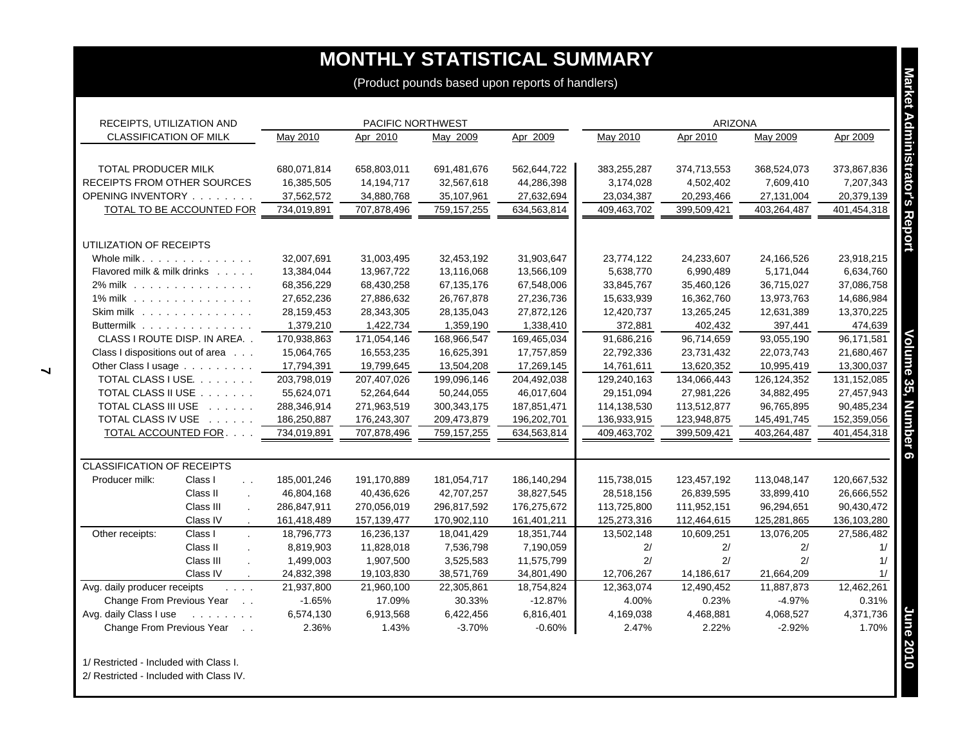| <b>CLASSIFICATION OF MILK</b><br>TOTAL PRODUCER MILK<br>RECEIPTS FROM OTHER SOURCES                                     | May 2010           |                    | PACIFIC NORTHWEST     |                       |                    | <b>ARIZONA</b>     |                       |                    |
|-------------------------------------------------------------------------------------------------------------------------|--------------------|--------------------|-----------------------|-----------------------|--------------------|--------------------|-----------------------|--------------------|
|                                                                                                                         |                    | Apr 2010           | May 2009              | Apr 2009              | May 2010           | Apr 2010           | May 2009              | Apr 2009           |
|                                                                                                                         | 680,071,814        | 658,803,011        | 691,481,676           | 562,644,722           | 383,255,287        | 374,713,553        | 368,524,073           | 373,867,836        |
|                                                                                                                         | 16,385,505         | 14,194,717         | 32,567,618            | 44,286,398            | 3,174,028          | 4,502,402          | 7,609,410             | 7,207,343          |
| OPENING INVENTORY                                                                                                       | 37,562,572         | 34,880,768         | 35,107,961            | 27,632,694            | 23,034,387         | 20,293,466         | 27,131,004            | 20,379,139         |
| TOTAL TO BE ACCOUNTED FOR                                                                                               | 734,019,891        | 707,878,496        | 759,157,255           | 634,563,814           | 409,463,702        | 399,509,421        | 403,264,487           | 401,454,318        |
| UTILIZATION OF RECEIPTS                                                                                                 |                    |                    |                       |                       |                    |                    |                       |                    |
| Whole milk.                                                                                                             | 32,007,691         | 31,003,495         | 32,453,192            | 31,903,647            | 23,774,122         | 24,233,607         | 24,166,526            | 23,918,215         |
| Flavored milk & milk drinks                                                                                             | 13,384,044         | 13,967,722         | 13,116,068            | 13,566,109            | 5,638,770          | 6,990,489          | 5,171,044             | 6,634,760          |
| 2% milk                                                                                                                 | 68,356,229         | 68,430,258         | 67,135,176            | 67,548,006            | 33,845,767         | 35,460,126         | 36,715,027            | 37,086,758         |
| 1% milk                                                                                                                 | 27,652,236         | 27,886,632         | 26,767,878            | 27,236,736            | 15,633,939         | 16,362,760         | 13,973,763            | 14,686,984         |
| Skim milk                                                                                                               | 28,159,453         | 28,343,305         | 28,135,043            | 27,872,126            | 12,420,737         | 13,265,245         | 12,631,389            | 13,370,225         |
| Buttermilk                                                                                                              | 1,379,210          | 1,422,734          | 1,359,190             | 1,338,410             | 372,881            | 402,432            | 397,441               | 474,639            |
| CLASS I ROUTE DISP. IN AREA                                                                                             | 170,938,863        | 171,054,146        | 168,966,547           | 169,465,034           | 91,686,216         | 96,714,659         | 93,055,190            | 96,171,581         |
| Class I dispositions out of area                                                                                        | 15,064,765         | 16,553,235         | 16,625,391            | 17,757,859            | 22,792,336         | 23,731,432         | 22,073,743            | 21,680,467         |
| Other Class I usage                                                                                                     | 17,794,391         | 19,799,645         | 13,504,208            | 17,269,145            | 14,761,611         | 13,620,352         | 10,995,419            | 13,300,037         |
| TOTAL CLASS I USE.                                                                                                      | 203,798,019        | 207,407,026        | 199,096,146           | 204,492,038           | 129,240,163        | 134,066,443        | 126, 124, 352         | 131, 152, 085      |
| TOTAL CLASS II USE                                                                                                      | 55,624,071         | 52,264,644         | 50,244,055            | 46,017,604            | 29,151,094         | 27,981,226         | 34,882,495            | 27,457,943         |
| TOTAL CLASS III USE                                                                                                     | 288,346,914        | 271,963,519        | 300, 343, 175         | 187,851,471           | 114,138,530        | 113,512,877        | 96,765,895            | 90,485,234         |
| TOTAL CLASS IV USE                                                                                                      | 186,250,887        | 176,243,307        | 209,473,879           | 196,202,701           | 136,933,915        | 123,948,875        | 145,491,745           | 152,359,056        |
| TOTAL ACCOUNTED FOR                                                                                                     | 734,019,891        | 707,878,496        | 759,157,255           | 634,563,814           | 409,463,702        | 399,509,421        | 403,264,487           | 401,454,318        |
| <b>CLASSIFICATION OF RECEIPTS</b>                                                                                       |                    |                    |                       |                       |                    |                    |                       |                    |
| Producer milk:<br>Class I<br>$\ddot{\phantom{a}}$                                                                       | 185,001,246        | 191,170,889        | 181,054,717           | 186,140,294           | 115,738,015        | 123,457,192        | 113,048,147           | 120,667,532        |
| Class II<br>$\mathcal{L}$                                                                                               | 46,804,168         | 40,436,626         | 42,707,257            | 38,827,545            | 28,518,156         | 26,839,595         | 33,899,410            | 26,666,552         |
| Class III                                                                                                               | 286,847,911        | 270,056,019        | 296,817,592           | 176,275,672           | 113,725,800        | 111,952,151        | 96,294,651            | 90,430,472         |
| Class IV                                                                                                                | 161,418,489        | 157, 139, 477      | 170,902,110           | 161,401,211           | 125,273,316        | 112,464,615        | 125,281,865           | 136,103,280        |
| Other receipts:<br>Class I                                                                                              | 18,796,773         | 16,236,137         | 18,041,429            | 18,351,744            | 13,502,148         | 10,609,251         | 13,076,205            | 27,586,482         |
| Class II<br>$\mathbf{r}$                                                                                                | 8,819,903          | 11,828,018         | 7,536,798             | 7,190,059             | 2/                 | 2/                 | 2/                    | 1/                 |
| Class III                                                                                                               | 1,499,003          | 1,907,500          | 3,525,583             | 11,575,799            | 2/                 | 2/                 | 2/                    | 1/                 |
| Class IV<br>$\cdot$                                                                                                     | 24,832,398         | 19,103,830         | 38,571,769            | 34,801,490            | 12,706,267         | 14,186,617         | 21,664,209            | 1/                 |
| Avg. daily producer receipts<br>$\mathcal{L}^{\mathcal{A}}$ , $\mathcal{L}^{\mathcal{A}}$ , $\mathcal{L}^{\mathcal{A}}$ | 21,937,800         | 21,960,100         | 22,305,861            | 18,754,824            | 12,363,074         | 12,490,452         | 11,887,873            | 12,462,261         |
| Change From Previous Year                                                                                               | $-1.65%$           | 17.09%             | 30.33%                | $-12.87%$             | 4.00%              | 0.23%              | $-4.97%$              | 0.31%              |
| Avg. daily Class I use<br>and a straight and<br>Change From Previous Year<br>$\overline{\phantom{a}}$ .                 | 6,574,130<br>2.36% | 6,913,568<br>1.43% | 6,422,456<br>$-3.70%$ | 6,816,401<br>$-0.60%$ | 4,169,038<br>2.47% | 4,468,881<br>2.22% | 4,068,527<br>$-2.92%$ | 4,371,736<br>1.70% |

2/ Restricted - Included with Class IV.